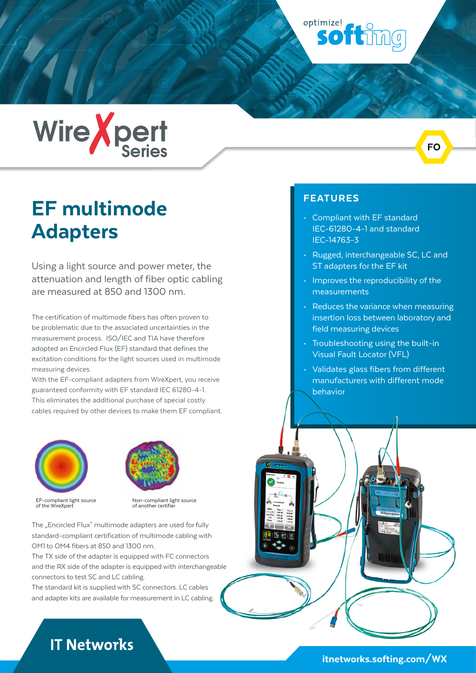optimize! softing



# EF multimode Adapters

Using a light source and power meter, the attenuation and length of fiber optic cabling are measured at 850 and 1300 nm.

The certification of multimode fibers has often proven to be problematic due to the associated uncertainties in the measurement process. ISO/IEC and TIA have therefore adopted an Encircled Flux (EF) standard that defines the excitation conditions for the light sources used in multimode measuring devices.

With the EF-compliant adapters from WireXpert, you receive guaranteed conformity with EF standard IEC 61280-4-1. This eliminates the additional purchase of special costly cables required by other devices to make them EF compliant.





EF-compliant light source of the WireXpert

Non-compliant light source of another certifier

The ..Encircled Flux" multimode adapters are used for fully standard-compliant certification of multimode cabling with OM1 to OM4 fibers at 850 and 1300 nm.

The TX side of the adapter is equipped with FC connectors and the RX side of the adapter is equipped with interchangeable connectors to test SC and LC cabling.

The standard kit is supplied with SC connectors. LC cables and adapter kits are available for measurement in LC cabling.

#### FEATURES

- Compliant with EF standard IEC-61280-4-1 and standard IEC-14763-3
- Rugged, interchangeable SC, LC and ST adapters for the EF kit

FO

- Improves the reproducibility of the measurements
- Reduces the variance when measuring insertion loss between laboratory and field measuring devices
- Troubleshooting using the built-in Visual Fault Locator (VFL)
- Validates glass fibers from different manufacturers with different mode behavior

# **IT Networks**

### [itnetworks.softing.com/WX](https://itnetworks.softing.com/WX)